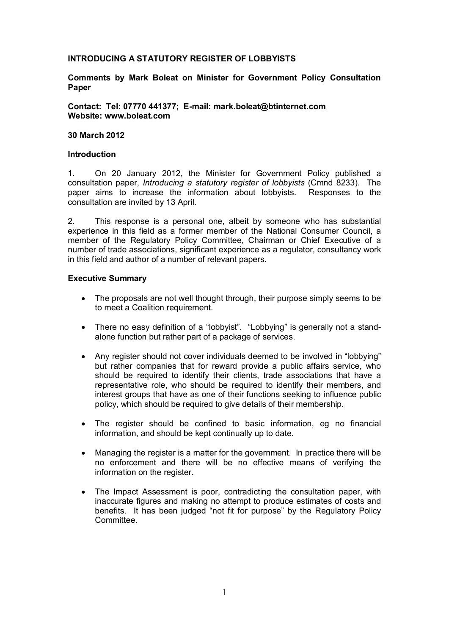# **INTRODUCING A STATUTORY REGISTER OF LOBBYISTS**

### **Comments by Mark Boleat on Minister for Government Policy Consultation Paper**

**Contact: Tel: 07770 441377; E-mail: mark.boleat@btinternet.com Website: www.boleat.com**

#### **30 March 2012**

#### **Introduction**

1. On 20 January 2012, the Minister for Government Policy published a consultation paper, *Introducing a statutory register of lobbyists* (Cmnd 8233). The paper aims to increase the information about lobbyists. Responses to the consultation are invited by 13 April.

2. This response is a personal one, albeit by someone who has substantial experience in this field as a former member of the National Consumer Council, a member of the Regulatory Policy Committee, Chairman or Chief Executive of a number of trade associations, significant experience as a regulator, consultancy work in this field and author of a number of relevant papers.

### **Executive Summary**

- · The proposals are not well thought through, their purpose simply seems to be to meet a Coalition requirement.
- · There no easy definition of a "lobbyist". "Lobbying" is generally not a standalone function but rather part of a package of services.
- · Any register should not cover individuals deemed to be involved in "lobbying" but rather companies that for reward provide a public affairs service, who should be required to identify their clients, trade associations that have a representative role, who should be required to identify their members, and interest groups that have as one of their functions seeking to influence public policy, which should be required to give details of their membership.
- The register should be confined to basic information, eg no financial information, and should be kept continually up to date.
- · Managing the register is a matter for the government. In practice there will be no enforcement and there will be no effective means of verifying the information on the register.
- The Impact Assessment is poor, contradicting the consultation paper, with inaccurate figures and making no attempt to produce estimates of costs and benefits. It has been judged "not fit for purpose" by the Regulatory Policy Committee.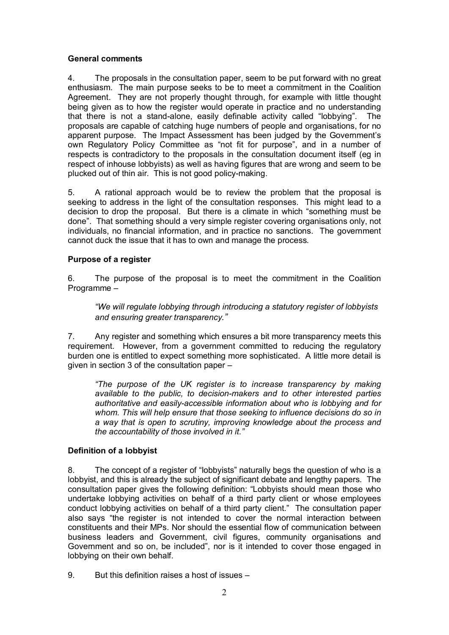# **General comments**

4. The proposals in the consultation paper, seem to be put forward with no great enthusiasm. The main purpose seeks to be to meet a commitment in the Coalition Agreement. They are not properly thought through, for example with little thought being given as to how the register would operate in practice and no understanding that there is not a stand-alone, easily definable activity called "lobbying". The proposals are capable of catching huge numbers of people and organisations, for no apparent purpose. The Impact Assessment has been judged by the Government's own Regulatory Policy Committee as "not fit for purpose", and in a number of respects is contradictory to the proposals in the consultation document itself (eg in respect of inhouse lobbyists) as well as having figures that are wrong and seem to be plucked out of thin air. This is not good policy-making.

5. A rational approach would be to review the problem that the proposal is seeking to address in the light of the consultation responses. This might lead to a decision to drop the proposal. But there is a climate in which "something must be done". That something should a very simple register covering organisations only, not individuals, no financial information, and in practice no sanctions. The government cannot duck the issue that it has to own and manage the process.

# **Purpose of a register**

6. The purpose of the proposal is to meet the commitment in the Coalition Programme –

*"We will regulate lobbying through introducing a statutory register of lobbyists and ensuring greater transparency."*

7. Any register and something which ensures a bit more transparency meets this requirement. However, from a government committed to reducing the regulatory burden one is entitled to expect something more sophisticated. A little more detail is given in section 3 of the consultation paper –

*"The purpose of the UK register is to increase transparency by making available to the public, to decision-makers and to other interested parties authoritative and easily-accessible information about who is lobbying and for whom. This will help ensure that those seeking to influence decisions do so in a way that is open to scrutiny, improving knowledge about the process and the accountability of those involved in it."*

# **Definition of a lobbyist**

8. The concept of a register of "lobbyists" naturally begs the question of who is a lobbyist, and this is already the subject of significant debate and lengthy papers. The consultation paper gives the following definition: "Lobbyists should mean those who undertake lobbying activities on behalf of a third party client or whose employees conduct lobbying activities on behalf of a third party client." The consultation paper also says "the register is not intended to cover the normal interaction between constituents and their MPs. Nor should the essential flow of communication between business leaders and Government, civil figures, community organisations and Government and so on, be included", nor is it intended to cover those engaged in lobbying on their own behalf.

9. But this definition raises a host of issues –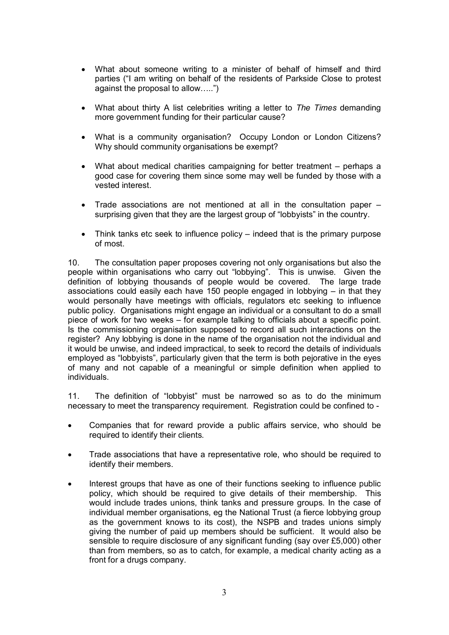- · What about someone writing to a minister of behalf of himself and third parties ("I am writing on behalf of the residents of Parkside Close to protest against the proposal to allow…..")
- · What about thirty A list celebrities writing a letter to *The Times* demanding more government funding for their particular cause?
- · What is a community organisation? Occupy London or London Citizens? Why should community organisations be exempt?
- What about medical charities campaigning for better treatment perhaps a good case for covering them since some may well be funded by those with a vested interest.
- Trade associations are not mentioned at all in the consultation paper  $$ surprising given that they are the largest group of "lobbyists" in the country.
- Think tanks etc seek to influence policy indeed that is the primary purpose of most.

10. The consultation paper proposes covering not only organisations but also the people within organisations who carry out "lobbying". This is unwise. Given the definition of lobbying thousands of people would be covered. The large trade associations could easily each have 150 people engaged in lobbying – in that they would personally have meetings with officials, regulators etc seeking to influence public policy. Organisations might engage an individual or a consultant to do a small piece of work for two weeks – for example talking to officials about a specific point. Is the commissioning organisation supposed to record all such interactions on the register? Any lobbying is done in the name of the organisation not the individual and it would be unwise, and indeed impractical, to seek to record the details of individuals employed as "lobbyists", particularly given that the term is both pejorative in the eyes of many and not capable of a meaningful or simple definition when applied to individuals.

11. The definition of "lobbyist" must be narrowed so as to do the minimum necessary to meet the transparency requirement. Registration could be confined to -

- · Companies that for reward provide a public affairs service, who should be required to identify their clients.
- · Trade associations that have a representative role, who should be required to identify their members.
- Interest groups that have as one of their functions seeking to influence public policy, which should be required to give details of their membership. This would include trades unions, think tanks and pressure groups. In the case of individual member organisations, eg the National Trust (a fierce lobbying group as the government knows to its cost), the NSPB and trades unions simply giving the number of paid up members should be sufficient. It would also be sensible to require disclosure of any significant funding (say over £5,000) other than from members, so as to catch, for example, a medical charity acting as a front for a drugs company.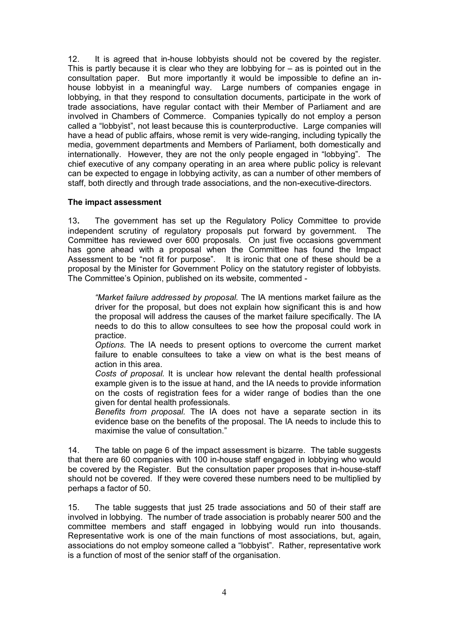12. It is agreed that in-house lobbyists should not be covered by the register. This is partly because it is clear who they are lobbying for  $-$  as is pointed out in the consultation paper. But more importantly it would be impossible to define an inhouse lobbyist in a meaningful way. Large numbers of companies engage in lobbying, in that they respond to consultation documents, participate in the work of trade associations, have regular contact with their Member of Parliament and are involved in Chambers of Commerce. Companies typically do not employ a person called a "lobbyist", not least because this is counterproductive. Large companies will have a head of public affairs, whose remit is very wide-ranging, including typically the media, government departments and Members of Parliament, both domestically and internationally. However, they are not the only people engaged in "lobbying". The chief executive of any company operating in an area where public policy is relevant can be expected to engage in lobbying activity, as can a number of other members of staff, both directly and through trade associations, and the non-executive-directors.

# **The impact assessment**

13**.** The government has set up the Regulatory Policy Committee to provide independent scrutiny of regulatory proposals put forward by government. The Committee has reviewed over 600 proposals. On just five occasions government has gone ahead with a proposal when the Committee has found the Impact Assessment to be "not fit for purpose". It is ironic that one of these should be a proposal by the Minister for Government Policy on the statutory register of lobbyists. The Committee's Opinion, published on its website, commented -

*"Market failure addressed by proposal.* The IA mentions market failure as the driver for the proposal, but does not explain how significant this is and how the proposal will address the causes of the market failure specifically. The IA needs to do this to allow consultees to see how the proposal could work in practice.

*Options.* The IA needs to present options to overcome the current market failure to enable consultees to take a view on what is the best means of action in this area.

*Costs of proposal.* It is unclear how relevant the dental health professional example given is to the issue at hand, and the IA needs to provide information on the costs of registration fees for a wider range of bodies than the one given for dental health professionals.

*Benefits from proposal.* The IA does not have a separate section in its evidence base on the benefits of the proposal. The IA needs to include this to maximise the value of consultation."

14. The table on page 6 of the impact assessment is bizarre. The table suggests that there are 60 companies with 100 in-house staff engaged in lobbying who would be covered by the Register. But the consultation paper proposes that in-house-staff should not be covered. If they were covered these numbers need to be multiplied by perhaps a factor of 50.

15. The table suggests that just 25 trade associations and 50 of their staff are involved in lobbying. The number of trade association is probably nearer 500 and the committee members and staff engaged in lobbying would run into thousands. Representative work is one of the main functions of most associations, but, again, associations do not employ someone called a "lobbyist". Rather, representative work is a function of most of the senior staff of the organisation.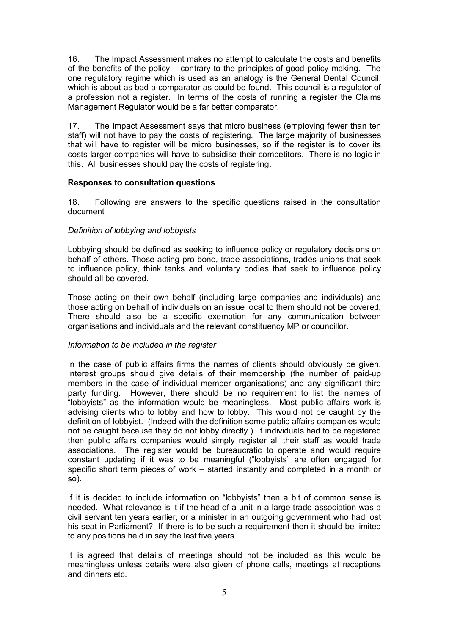16. The Impact Assessment makes no attempt to calculate the costs and benefits of the benefits of the policy – contrary to the principles of good policy making. The one regulatory regime which is used as an analogy is the General Dental Council, which is about as bad a comparator as could be found. This council is a regulator of a profession not a register. In terms of the costs of running a register the Claims Management Regulator would be a far better comparator.

17. The Impact Assessment says that micro business (employing fewer than ten staff) will not have to pay the costs of registering. The large majority of businesses that will have to register will be micro businesses, so if the register is to cover its costs larger companies will have to subsidise their competitors. There is no logic in this. All businesses should pay the costs of registering.

# **Responses to consultation questions**

18. Following are answers to the specific questions raised in the consultation document

# *Definition of lobbying and lobbyists*

Lobbying should be defined as seeking to influence policy or regulatory decisions on behalf of others. Those acting pro bono, trade associations, trades unions that seek to influence policy, think tanks and voluntary bodies that seek to influence policy should all be covered.

Those acting on their own behalf (including large companies and individuals) and those acting on behalf of individuals on an issue local to them should not be covered. There should also be a specific exemption for any communication between organisations and individuals and the relevant constituency MP or councillor.

# *Information to be included in the register*

In the case of public affairs firms the names of clients should obviously be given. Interest groups should give details of their membership (the number of paid-up members in the case of individual member organisations) and any significant third party funding. However, there should be no requirement to list the names of "lobbyists" as the information would be meaningless. Most public affairs work is advising clients who to lobby and how to lobby. This would not be caught by the definition of lobbyist. (Indeed with the definition some public affairs companies would not be caught because they do not lobby directly.) If individuals had to be registered then public affairs companies would simply register all their staff as would trade associations. The register would be bureaucratic to operate and would require constant updating if it was to be meaningful ("lobbyists" are often engaged for specific short term pieces of work – started instantly and completed in a month or so).

If it is decided to include information on "lobbyists" then a bit of common sense is needed. What relevance is it if the head of a unit in a large trade association was a civil servant ten years earlier, or a minister in an outgoing government who had lost his seat in Parliament? If there is to be such a requirement then it should be limited to any positions held in say the last five years.

It is agreed that details of meetings should not be included as this would be meaningless unless details were also given of phone calls, meetings at receptions and dinners etc.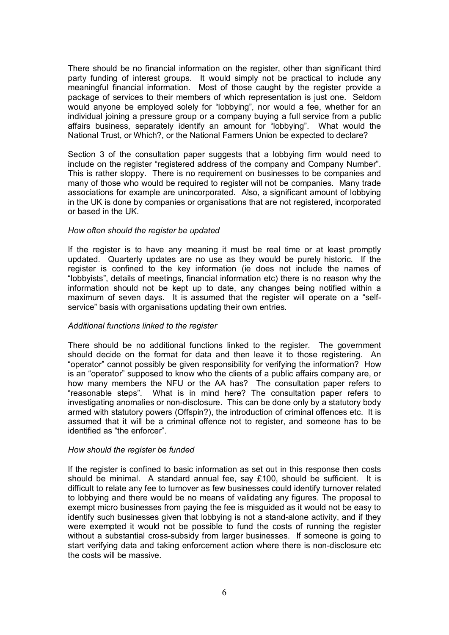There should be no financial information on the register, other than significant third party funding of interest groups. It would simply not be practical to include any meaningful financial information. Most of those caught by the register provide a package of services to their members of which representation is just one. Seldom would anyone be employed solely for "lobbying", nor would a fee, whether for an individual joining a pressure group or a company buying a full service from a public affairs business, separately identify an amount for "lobbying". What would the National Trust, or Which?, or the National Farmers Union be expected to declare?

Section 3 of the consultation paper suggests that a lobbying firm would need to include on the register "registered address of the company and Company Number". This is rather sloppy. There is no requirement on businesses to be companies and many of those who would be required to register will not be companies. Many trade associations for example are unincorporated. Also, a significant amount of lobbying in the UK is done by companies or organisations that are not registered, incorporated or based in the UK.

#### *How often should the register be updated*

If the register is to have any meaning it must be real time or at least promptly updated. Quarterly updates are no use as they would be purely historic. If the register is confined to the key information (ie does not include the names of "lobbyists", details of meetings, financial information etc) there is no reason why the information should not be kept up to date, any changes being notified within a maximum of seven days. It is assumed that the register will operate on a "selfservice" basis with organisations updating their own entries.

#### *Additional functions linked to the register*

There should be no additional functions linked to the register. The government should decide on the format for data and then leave it to those registering. An "operator" cannot possibly be given responsibility for verifying the information? How is an "operator" supposed to know who the clients of a public affairs company are, or how many members the NFU or the AA has? The consultation paper refers to "reasonable steps". What is in mind here? The consultation paper refers to investigating anomalies or non-disclosure. This can be done only by a statutory body armed with statutory powers (Offspin?), the introduction of criminal offences etc. It is assumed that it will be a criminal offence not to register, and someone has to be identified as "the enforcer".

#### *How should the register be funded*

If the register is confined to basic information as set out in this response then costs should be minimal. A standard annual fee, say £100, should be sufficient. It is difficult to relate any fee to turnover as few businesses could identify turnover related to lobbying and there would be no means of validating any figures. The proposal to exempt micro businesses from paying the fee is misguided as it would not be easy to identify such businesses given that lobbying is not a stand-alone activity, and if they were exempted it would not be possible to fund the costs of running the register without a substantial cross-subsidy from larger businesses. If someone is going to start verifying data and taking enforcement action where there is non-disclosure etc the costs will be massive.